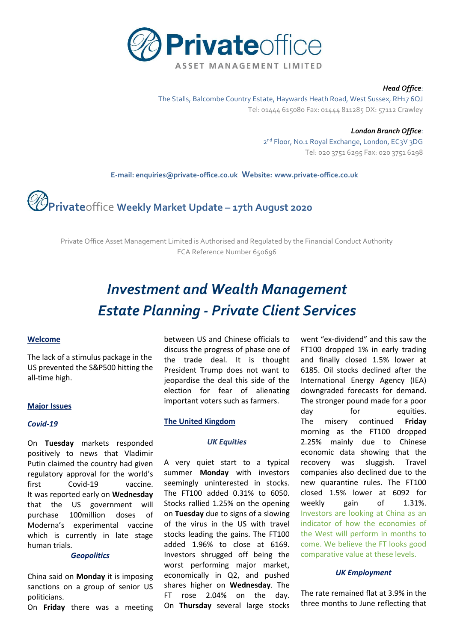

#### *Head Office*:

The Stalls, Balcombe Country Estate, Haywards Heath Road, West Sussex, RH17 6QJ Tel: 01444 615080 Fax: 01444 811285 DX: 57112 Crawley

> *London Branch Office*: 2<sup>nd</sup> Floor, No.1 Royal Exchange, London, EC3V 3DG Tel: 020 3751 6295 Fax: 020 3751 6298

 **E-mail[: enquiries@private-office.co.uk](mailto:enquiries@private-office.co.uk) Website: [www.private-office.co.uk](http://www.private-office.co.uk/)**

# **Private**office **Weekly Market Update – 17th August 2020**

Private Office Asset Management Limited is Authorised and Regulated by the Financial Conduct Authority FCA Reference Number 650696

# *Investment and Wealth Management Estate Planning - Private Client Services*

#### **Welcome**

The lack of a stimulus package in the US prevented the S&P500 hitting the all-time high.

#### **Major Issues**

#### *Covid-19*

On **Tuesday** markets responded positively to news that Vladimir Putin claimed the country had given regulatory approval for the world's first Covid-19 vaccine. It was reported early on **Wednesday**  that the US government will purchase 100million doses of Moderna's experimental vaccine which is currently in late stage human trials.

# *Geopolitics*

China said on **Monday** it is imposing sanctions on a group of senior US politicians.

On **Friday** there was a meeting

between US and Chinese officials to discuss the progress of phase one of the trade deal. It is thought President Trump does not want to jeopardise the deal this side of the election for fear of alienating important voters such as farmers.

#### **The United Kingdom**

#### *UK Equities*

A very quiet start to a typical summer **Monday** with investors seemingly uninterested in stocks. The FT100 added 0.31% to 6050. Stocks rallied 1.25% on the opening on **Tuesday** due to signs of a slowing of the virus in the US with travel stocks leading the gains. The FT100 added 1.96% to close at 6169. Investors shrugged off being the worst performing major market, economically in Q2, and pushed shares higher on **Wednesday**. The FT rose 2.04% on the day. On **Thursday** several large stocks went "ex-dividend" and this saw the FT100 dropped 1% in early trading and finally closed 1.5% lower at 6185. Oil stocks declined after the International Energy Agency (IEA) downgraded forecasts for demand. The stronger pound made for a poor day for equities. The misery continued **Friday** morning as the FT100 dropped 2.25% mainly due to Chinese economic data showing that the recovery was sluggish. Travel companies also declined due to the new quarantine rules. The FT100 closed 1.5% lower at 6092 for weekly gain of 1.31%. Investors are looking at China as an indicator of how the economies of the West will perform in months to come. We believe the FT looks good comparative value at these levels.

# *UK Employment*

The rate remained flat at 3.9% in the three months to June reflecting that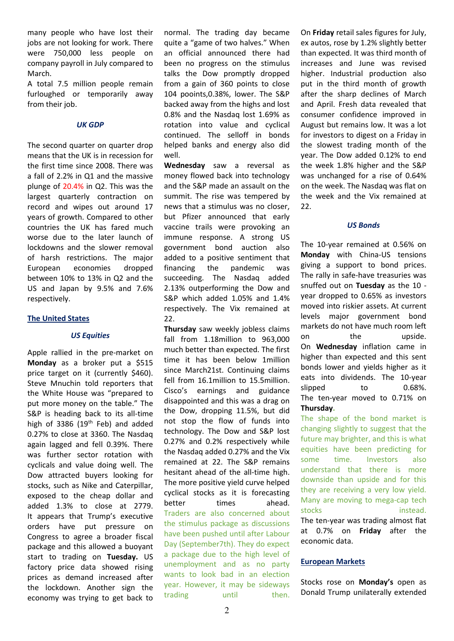many people who have lost their jobs are not looking for work. There were 750,000 less people on company payroll in July compared to March.

A total 7.5 million people remain furloughed or temporarily away from their job.

# *UK GDP*

The second quarter on quarter drop means that the UK is in recession for the first time since 2008. There was a fall of 2.2% in Q1 and the massive plunge of 20.4% in Q2. This was the largest quarterly contraction on record and wipes out around 17 years of growth. Compared to other countries the UK has fared much worse due to the later launch of lockdowns and the slower removal of harsh restrictions. The major European economies dropped between 10% to 13% in Q2 and the US and Japan by 9.5% and 7.6% respectively.

#### **The United States**

# *US Equities*

Apple rallied in the pre-market on **Monday** as a broker put a \$515 price target on it (currently \$460). Steve Mnuchin told reporters that the White House was "prepared to put more money on the table." The S&P is heading back to its all-time high of 3386 (19<sup>th</sup> Feb) and added 0.27% to close at 3360. The Nasdaq again lagged and fell 0.39%. There was further sector rotation with cyclicals and value doing well. The Dow attracted buyers looking for stocks, such as Nike and Caterpillar, exposed to the cheap dollar and added 1.3% to close at 2779. It appears that Trump's executive orders have put pressure on Congress to agree a broader fiscal package and this allowed a buoyant start to trading on **Tuesday.** US factory price data showed rising prices as demand increased after the lockdown. Another sign the economy was trying to get back to

normal. The trading day became quite a "game of two halves." When an official announced there had been no progress on the stimulus talks the Dow promptly dropped from a gain of 360 points to close 104 pooints,0.38%, lower. The S&P backed away from the highs and lost 0.8% and the Nasdaq lost 1.69% as rotation into value and cyclical continued. The selloff in bonds helped banks and energy also did well.

**Wednesday** saw a reversal as money flowed back into technology and the S&P made an assault on the summit. The rise was tempered by news that a stimulus was no closer, but Pfizer announced that early vaccine trails were provoking an immune response. A strong US government bond auction also added to a positive sentiment that financing the pandemic was succeeding. The Nasdaq added 2.13% outperforming the Dow and S&P which added 1.05% and 1.4% respectively. The Vix remained at 22.

**Thursday** saw weekly jobless claims fall from 1.18million to 963,000 much better than expected. The first time it has been below 1million since March21st. Continuing claims fell from 16.1million to 15.5million. Cisco's earnings and guidance disappointed and this was a drag on the Dow, dropping 11.5%, but did not stop the flow of funds into technology. The Dow and S&P lost 0.27% and 0.2% respectively while the Nasdaq added 0.27% and the Vix remained at 22. The S&P remains hesitant ahead of the all-time high. The more positive yield curve helped cyclical stocks as it is forecasting better times ahead. Traders are also concerned about the stimulus package as discussions have been pushed until after Labour Day (September7th). They do expect a package due to the high level of unemployment and as no party wants to look bad in an election year. However, it may be sideways trading until then.

On **Friday** retail sales figures for July, ex autos, rose by 1.2% slightly better than expected. It was third month of increases and June was revised higher. Industrial production also put in the third month of growth after the sharp declines of March and April. Fresh data revealed that consumer confidence improved in August but remains low. It was a lot for investors to digest on a Friday in the slowest trading month of the year. The Dow added 0.12% to end the week 1.8% higher and the S&P was unchanged for a rise of 0.64% on the week. The Nasdaq was flat on the week and the Vix remained at  $22.$ 

# *US Bonds*

The 10-year remained at 0.56% on **Monday** with China-US tensions giving a support to bond prices. The rally in safe-have treasuries was snuffed out on **Tuesday** as the 10 year dropped to 0.65% as investors moved into riskier assets. At current levels major government bond markets do not have much room left on the upside. On **Wednesday** inflation came in higher than expected and this sent bonds lower and yields higher as it eats into dividends. The 10-year slipped to 0.68%. The ten-year moved to 0.71% on **Thursday.** 

The shape of the bond market is changing slightly to suggest that the future may brighter, and this is what equities have been predicting for some time. Investors also understand that there is more downside than upside and for this they are receiving a very low yield. Many are moving to mega-cap tech stocks instead. The ten-year was trading almost flat at 0.7% on **Friday** after the economic data.

# **European Markets**

Stocks rose on **Monday's** open as Donald Trump unilaterally extended